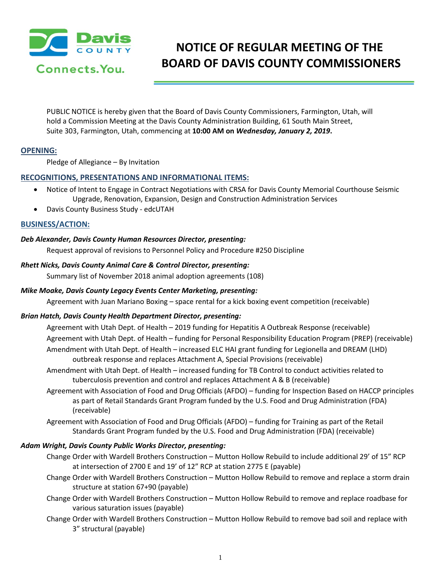

# **NOTICE OF REGULAR MEETING OF THE BOARD OF DAVIS COUNTY COMMISSIONERS**

PUBLIC NOTICE is hereby given that the Board of Davis County Commissioners, Farmington, Utah, will hold a Commission Meeting at the Davis County Administration Building, 61 South Main Street, Suite 303, Farmington, Utah, commencing at **10:00 AM on** *Wednesday, January 2, 2019***.**

# **OPENING:**

Pledge of Allegiance – By Invitation

# **RECOGNITIONS, PRESENTATIONS AND INFORMATIONAL ITEMS:**

- Notice of Intent to Engage in Contract Negotiations with CRSA for Davis County Memorial Courthouse Seismic Upgrade, Renovation, Expansion, Design and Construction Administration Services
- Davis County Business Study edcUTAH

# **BUSINESS/ACTION:**

## *Deb Alexander, Davis County Human Resources Director, presenting:*

Request approval of revisions to Personnel Policy and Procedure #250 Discipline

#### *Rhett Nicks, Davis County Animal Care & Control Director, presenting:*

Summary list of November 2018 animal adoption agreements (108)

## *Mike Moake, Davis County Legacy Events Center Marketing, presenting:*

Agreement with Juan Mariano Boxing – space rental for a kick boxing event competition (receivable)

## *Brian Hatch, Davis County Health Department Director, presenting:*

- Agreement with Utah Dept. of Health 2019 funding for Hepatitis A Outbreak Response (receivable) Agreement with Utah Dept. of Health – funding for Personal Responsibility Education Program (PREP) (receivable) Amendment with Utah Dept. of Health – increased ELC HAI grant funding for Legionella and DREAM (LHD) outbreak response and replaces Attachment A, Special Provisions (receivable)
- Amendment with Utah Dept. of Health increased funding for TB Control to conduct activities related to tuberculosis prevention and control and replaces Attachment A & B (receivable)
- Agreement with Association of Food and Drug Officials (AFDO) funding for Inspection Based on HACCP principles as part of Retail Standards Grant Program funded by the U.S. Food and Drug Administration (FDA) (receivable)
- Agreement with Association of Food and Drug Officials (AFDO) funding for Training as part of the Retail Standards Grant Program funded by the U.S. Food and Drug Administration (FDA) (receivable)

## *Adam Wright, Davis County Public Works Director, presenting:*

- Change Order with Wardell Brothers Construction Mutton Hollow Rebuild to include additional 29' of 15" RCP at intersection of 2700 E and 19' of 12" RCP at station 2775 E (payable)
- Change Order with Wardell Brothers Construction Mutton Hollow Rebuild to remove and replace a storm drain structure at station 67+90 (payable)
- Change Order with Wardell Brothers Construction Mutton Hollow Rebuild to remove and replace roadbase for various saturation issues (payable)
- Change Order with Wardell Brothers Construction Mutton Hollow Rebuild to remove bad soil and replace with 3" structural (payable)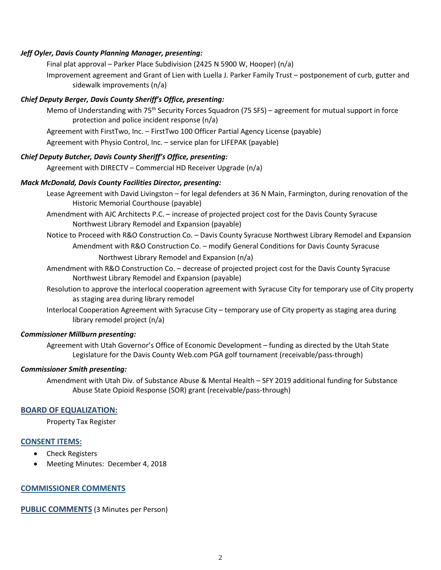#### *Jeff Oyler, Davis County Planning Manager, presenting:*

Final plat approval – Parker Place Subdivision (2425 N 5900 W, Hooper) (n/a)

Improvement agreement and Grant of Lien with Luella J. Parker Family Trust – postponement of curb, gutter and sidewalk improvements (n/a)

## *Chief Deputy Berger, Davis County Sheriff's Office, presenting:*

Memo of Understanding with 75<sup>th</sup> Security Forces Squadron (75 SFS) – agreement for mutual support in force protection and police incident response (n/a)

Agreement with FirstTwo, Inc. – FirstTwo 100 Officer Partial Agency License (payable)

Agreement with Physio Control, Inc. – service plan for LIFEPAK (payable)

#### *Chief Deputy Butcher, Davis County Sheriff's Office, presenting:*

Agreement with DIRECTV – Commercial HD Receiver Upgrade (n/a)

#### *Mack McDonald, Davis County Facilities Director, presenting:*

Lease Agreement with David Livingston – for legal defenders at 36 N Main, Farmington, during renovation of the Historic Memorial Courthouse (payable)

Amendment with AJC Architects P.C. – increase of projected project cost for the Davis County Syracuse Northwest Library Remodel and Expansion (payable)

Notice to Proceed with R&O Construction Co. – Davis County Syracuse Northwest Library Remodel and Expansion Amendment with R&O Construction Co. – modify General Conditions for Davis County Syracuse Northwest Library Remodel and Expansion (n/a)

- Amendment with R&O Construction Co. decrease of projected project cost for the Davis County Syracuse Northwest Library Remodel and Expansion (payable)
- Resolution to approve the interlocal cooperation agreement with Syracuse City for temporary use of City property as staging area during library remodel
- Interlocal Cooperation Agreement with Syracuse City temporary use of City property as staging area during library remodel project (n/a)

#### *Commissioner Millburn presenting:*

Agreement with Utah Governor's Office of Economic Development – funding as directed by the Utah State Legislature for the Davis County Web.com PGA golf tournament (receivable/pass-through)

#### *Commissioner Smith presenting:*

Amendment with Utah Div. of Substance Abuse & Mental Health – SFY 2019 additional funding for Substance Abuse State Opioid Response (SOR) grant (receivable/pass-through)

## **BOARD OF EQUALIZATION:**

Property Tax Register

## **CONSENT ITEMS:**

- Check Registers
- Meeting Minutes: December 4, 2018

## **COMMISSIONER COMMENTS**

**PUBLIC COMMENTS** (3 Minutes per Person)